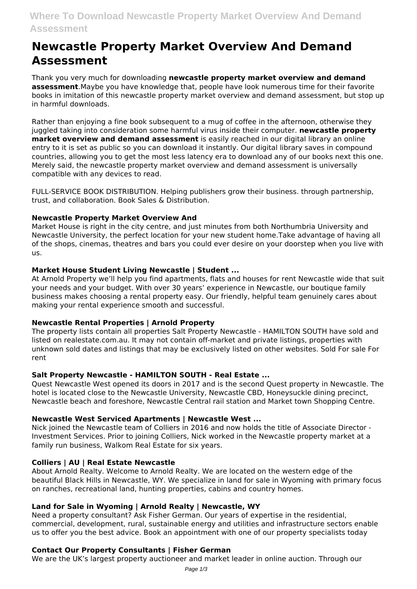# **Where To Download Newcastle Property Market Overview And Demand Assessment**

# **Newcastle Property Market Overview And Demand Assessment**

Thank you very much for downloading **newcastle property market overview and demand assessment**.Maybe you have knowledge that, people have look numerous time for their favorite books in imitation of this newcastle property market overview and demand assessment, but stop up in harmful downloads.

Rather than enjoying a fine book subsequent to a mug of coffee in the afternoon, otherwise they juggled taking into consideration some harmful virus inside their computer. **newcastle property market overview and demand assessment** is easily reached in our digital library an online entry to it is set as public so you can download it instantly. Our digital library saves in compound countries, allowing you to get the most less latency era to download any of our books next this one. Merely said, the newcastle property market overview and demand assessment is universally compatible with any devices to read.

FULL-SERVICE BOOK DISTRIBUTION. Helping publishers grow their business. through partnership, trust, and collaboration. Book Sales & Distribution.

# **Newcastle Property Market Overview And**

Market House is right in the city centre, and just minutes from both Northumbria University and Newcastle University, the perfect location for your new student home.Take advantage of having all of the shops, cinemas, theatres and bars you could ever desire on your doorstep when you live with us.

# **Market House Student Living Newcastle | Student ...**

At Arnold Property we'll help you find apartments, flats and houses for rent Newcastle wide that suit your needs and your budget. With over 30 years' experience in Newcastle, our boutique family business makes choosing a rental property easy. Our friendly, helpful team genuinely cares about making your rental experience smooth and successful.

# **Newcastle Rental Properties | Arnold Property**

The property lists contain all properties Salt Property Newcastle - HAMILTON SOUTH have sold and listed on realestate.com.au. It may not contain off-market and private listings, properties with unknown sold dates and listings that may be exclusively listed on other websites. Sold For sale For rent

# **Salt Property Newcastle - HAMILTON SOUTH - Real Estate ...**

Quest Newcastle West opened its doors in 2017 and is the second Quest property in Newcastle. The hotel is located close to the Newcastle University, Newcastle CBD, Honeysuckle dining precinct, Newcastle beach and foreshore, Newcastle Central rail station and Market town Shopping Centre.

# **Newcastle West Serviced Apartments | Newcastle West ...**

Nick joined the Newcastle team of Colliers in 2016 and now holds the title of Associate Director - Investment Services. Prior to joining Colliers, Nick worked in the Newcastle property market at a family run business, Walkom Real Estate for six years.

# **Colliers | AU | Real Estate Newcastle**

About Arnold Realty. Welcome to Arnold Realty. We are located on the western edge of the beautiful Black Hills in Newcastle, WY. We specialize in land for sale in Wyoming with primary focus on ranches, recreational land, hunting properties, cabins and country homes.

# **Land for Sale in Wyoming | Arnold Realty | Newcastle, WY**

Need a property consultant? Ask Fisher German. Our years of expertise in the residential, commercial, development, rural, sustainable energy and utilities and infrastructure sectors enable us to offer you the best advice. Book an appointment with one of our property specialists today

# **Contact Our Property Consultants | Fisher German**

We are the UK's largest property auctioneer and market leader in online auction. Through our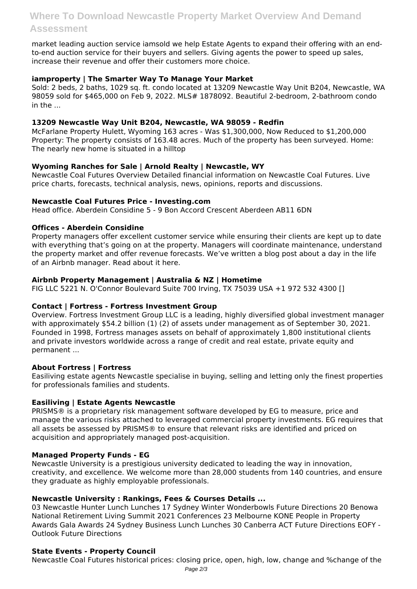market leading auction service iamsold we help Estate Agents to expand their offering with an endto-end auction service for their buyers and sellers. Giving agents the power to speed up sales, increase their revenue and offer their customers more choice.

# **iamproperty | The Smarter Way To Manage Your Market**

Sold: 2 beds, 2 baths, 1029 sq. ft. condo located at 13209 Newcastle Way Unit B204, Newcastle, WA 98059 sold for \$465,000 on Feb 9, 2022. MLS# 1878092. Beautiful 2-bedroom, 2-bathroom condo  $in$  the  $\overline{\phantom{a}}$ 

# **13209 Newcastle Way Unit B204, Newcastle, WA 98059 - Redfin**

McFarlane Property Hulett, Wyoming 163 acres - Was \$1,300,000, Now Reduced to \$1,200,000 Property: The property consists of 163.48 acres. Much of the property has been surveyed. Home: The nearly new home is situated in a hilltop

# **Wyoming Ranches for Sale | Arnold Realty | Newcastle, WY**

Newcastle Coal Futures Overview Detailed financial information on Newcastle Coal Futures. Live price charts, forecasts, technical analysis, news, opinions, reports and discussions.

# **Newcastle Coal Futures Price - Investing.com**

Head office. Aberdein Considine 5 - 9 Bon Accord Crescent Aberdeen AB11 6DN

# **Offices - Aberdein Considine**

Property managers offer excellent customer service while ensuring their clients are kept up to date with everything that's going on at the property. Managers will coordinate maintenance, understand the property market and offer revenue forecasts. We've written a blog post about a day in the life of an Airbnb manager. Read about it here.

# **Airbnb Property Management | Australia & NZ | Hometime**

FIG LLC 5221 N. O'Connor Boulevard Suite 700 Irving, TX 75039 USA +1 972 532 4300 []

# **Contact | Fortress - Fortress Investment Group**

Overview. Fortress Investment Group LLC is a leading, highly diversified global investment manager with approximately \$54.2 billion (1) (2) of assets under management as of September 30, 2021. Founded in 1998, Fortress manages assets on behalf of approximately 1,800 institutional clients and private investors worldwide across a range of credit and real estate, private equity and permanent ...

# **About Fortress | Fortress**

Easiliving estate agents Newcastle specialise in buying, selling and letting only the finest properties for professionals families and students.

# **Easiliving | Estate Agents Newcastle**

PRISMS® is a proprietary risk management software developed by EG to measure, price and manage the various risks attached to leveraged commercial property investments. EG requires that all assets be assessed by PRISMS® to ensure that relevant risks are identified and priced on acquisition and appropriately managed post-acquisition.

# **Managed Property Funds - EG**

Newcastle University is a prestigious university dedicated to leading the way in innovation, creativity, and excellence. We welcome more than 28,000 students from 140 countries, and ensure they graduate as highly employable professionals.

# **Newcastle University : Rankings, Fees & Courses Details ...**

03 Newcastle Hunter Lunch Lunches 17 Sydney Winter Wonderbowls Future Directions 20 Benowa National Retirement Living Summit 2021 Conferences 23 Melbourne KONE People in Property Awards Gala Awards 24 Sydney Business Lunch Lunches 30 Canberra ACT Future Directions EOFY - Outlook Future Directions

# **State Events - Property Council**

Newcastle Coal Futures historical prices: closing price, open, high, low, change and %change of the